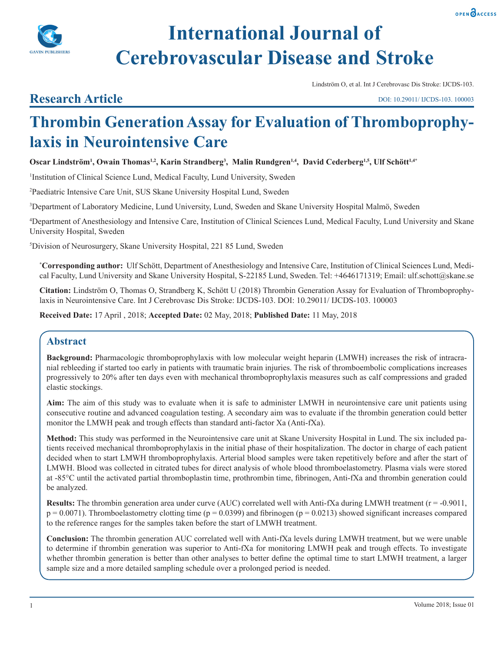



# **International Journal of Cerebrovascular Disease and Stroke**

Lindström O, et al. Int J Cerebrovasc Dis Stroke: IJCDS-103.

## **Research Article**

DOI: 10.29011/ IJCDS-103. 100003

## **Thrombin Generation Assay for Evaluation of Thromboprophylaxis in Neurointensive Care**

**Oscar Lindström1 , Owain Thomas1,2, Karin Strandberg3 , Malin Rundgren1,4, David Cederberg1,5, Ulf Schött1,4\***

<sup>1</sup>Institution of Clinical Science Lund, Medical Faculty, Lund University, Sweden

2 Paediatric Intensive Care Unit, SUS Skane University Hospital Lund, Sweden

3 Department of Laboratory Medicine, Lund University, Lund, Sweden and Skane University Hospital Malmö, Sweden

4 Department of Anesthesiology and Intensive Care, Institution of Clinical Sciences Lund, Medical Faculty, Lund University and Skane University Hospital, Sweden

5 Division of Neurosurgery, Skane University Hospital, 221 85 Lund, Sweden

**\* Corresponding author:** Ulf Schött, Department of Anesthesiology and Intensive Care, Institution of Clinical Sciences Lund, Medical Faculty, Lund University and Skane University Hospital, S-22185 Lund, Sweden. Tel: +4646171319; Email: ulf.schott@skane.se

**Citation:** Lindström O, Thomas O, Strandberg K, Schött U (2018) Thrombin Generation Assay for Evaluation of Thromboprophylaxis in Neurointensive Care. Int J Cerebrovasc Dis Stroke: IJCDS-103. DOI: 10.29011/ IJCDS-103. 100003

**Received Date:** 17 April , 2018; **Accepted Date:** 02 May, 2018; **Published Date:** 11 May, 2018

## **Abstract**

**Background:** Pharmacologic thromboprophylaxis with low molecular weight heparin (LMWH) increases the risk of intracranial rebleeding if started too early in patients with traumatic brain injuries. The risk of thromboembolic complications increases progressively to 20% after ten days even with mechanical thromboprophylaxis measures such as calf compressions and graded elastic stockings.

**Aim:** The aim of this study was to evaluate when it is safe to administer LMWH in neurointensive care unit patients using consecutive routine and advanced coagulation testing. A secondary aim was to evaluate if the thrombin generation could better monitor the LMWH peak and trough effects than standard anti-factor Xa (Anti-fXa).

**Method:** This study was performed in the Neurointensive care unit at Skane University Hospital in Lund. The six included patients received mechanical thromboprophylaxis in the initial phase of their hospitalization. The doctor in charge of each patient decided when to start LMWH thromboprophylaxis. Arterial blood samples were taken repetitively before and after the start of LMWH. Blood was collected in citrated tubes for direct analysis of whole blood thromboelastometry. Plasma vials were stored at -85°C until the activated partial thromboplastin time, prothrombin time, fibrinogen, Anti-fXa and thrombin generation could be analyzed.

**Results:** The thrombin generation area under curve (AUC) correlated well with Anti-fXa during LMWH treatment (r = -0.9011,  $p = 0.0071$ ). Thromboelastometry clotting time ( $p = 0.0399$ ) and fibrinogen ( $p = 0.0213$ ) showed significant increases compared to the reference ranges for the samples taken before the start of LMWH treatment.

**Conclusion:** The thrombin generation AUC correlated well with Anti-fXa levels during LMWH treatment, but we were unable to determine if thrombin generation was superior to Anti-fXa for monitoring LMWH peak and trough effects. To investigate whether thrombin generation is better than other analyses to better define the optimal time to start LMWH treatment, a larger sample size and a more detailed sampling schedule over a prolonged period is needed.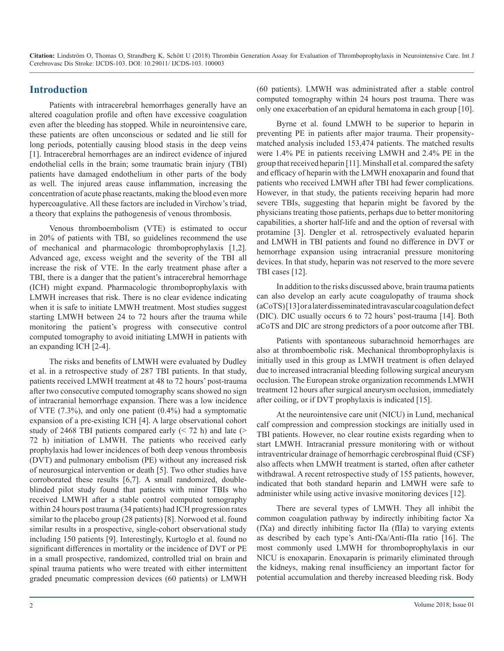## **Introduction**

Patients with intracerebral hemorrhages generally have an altered coagulation profile and often have excessive coagulation even after the bleeding has stopped. While in neurointensive care, these patients are often unconscious or sedated and lie still for long periods, potentially causing blood stasis in the deep veins [1]. Intracerebral hemorrhages are an indirect evidence of injured endothelial cells in the brain; some traumatic brain injury (TBI) patients have damaged endothelium in other parts of the body as well. The injured areas cause inflammation, increasing the concentration of acute phase reactants, making the blood even more hypercoagulative. All these factors are included in Virchow's triad, a theory that explains the pathogenesis of venous thrombosis.

Venous thromboembolism (VTE) is estimated to occur in 20% of patients with TBI, so guidelines recommend the use of mechanical and pharmacologic thromboprophylaxis [1,2]. Advanced age, excess weight and the severity of the TBI all increase the risk of VTE. In the early treatment phase after a TBI, there is a danger that the patient's intracerebral hemorrhage (ICH) might expand. Pharmacologic thromboprophylaxis with LMWH increases that risk. There is no clear evidence indicating when it is safe to initiate LMWH treatment. Most studies suggest starting LMWH between 24 to 72 hours after the trauma while monitoring the patient's progress with consecutive control computed tomography to avoid initiating LMWH in patients with an expanding ICH [2-4].

The risks and benefits of LMWH were evaluated by Dudley et al. in a retrospective study of 287 TBI patients. In that study, patients received LMWH treatment at 48 to 72 hours' post-trauma after two consecutive computed tomography scans showed no sign of intracranial hemorrhage expansion. There was a low incidence of VTE (7.3%), and only one patient (0.4%) had a symptomatic expansion of a pre-existing ICH [4]. A large observational cohort study of 2468 TBI patients compared early  $(< 72$  h) and late  $(>$ 72 h) initiation of LMWH. The patients who received early prophylaxis had lower incidences of both deep venous thrombosis (DVT) and pulmonary embolism (PE) without any increased risk of neurosurgical intervention or death [5]. Two other studies have corroborated these results [6,7]. A small randomized, doubleblinded pilot study found that patients with minor TBIs who received LMWH after a stable control computed tomography within 24 hours post trauma (34 patients) had ICH progression rates similar to the placebo group (28 patients) [8]. Norwood et al. found similar results in a prospective, single-cohort observational study including 150 patients [9]. Interestingly, Kurtoglo et al. found no significant differences in mortality or the incidence of DVT or PE in a small prospective, randomized, controlled trial on brain and spinal trauma patients who were treated with either intermittent graded pneumatic compression devices (60 patients) or LMWH

(60 patients). LMWH was administrated after a stable control computed tomography within 24 hours post trauma. There was only one exacerbation of an epidural hematoma in each group [10].

Byrne et al. found LMWH to be superior to heparin in preventing PE in patients after major trauma. Their propensitymatched analysis included 153,474 patients. The matched results were 1.4% PE in patients receiving LMWH and 2.4% PE in the group that received heparin [11]. Minshall et al. compared the safety and efficacy of heparin with the LMWH enoxaparin and found that patients who received LMWH after TBI had fewer complications. However, in that study, the patients receiving heparin had more severe TBIs, suggesting that heparin might be favored by the physicians treating those patients, perhaps due to better monitoring capabilities, a shorter half-life and and the option of reversal with protamine [3]. Dengler et al. retrospectively evaluated heparin and LMWH in TBI patients and found no difference in DVT or hemorrhage expansion using intracranial pressure monitoring devices. In that study, heparin was not reserved to the more severe TBI cases [12].

In addition to the risks discussed above, brain trauma patients can also develop an early acute coagulopathy of trauma shock (aCoTS) [13] or a later disseminated intravascular coagulation defect (DIC). DIC usually occurs 6 to 72 hours' post-trauma [14]. Both aCoTS and DIC are strong predictors of a poor outcome after TBI.

Patients with spontaneous subarachnoid hemorrhages are also at thromboembolic risk. Mechanical thromboprophylaxis is initially used in this group as LMWH treatment is often delayed due to increased intracranial bleeding following surgical aneurysm occlusion. The European stroke organization recommends LMWH treatment 12 hours after surgical aneurysm occlusion, immediately after coiling, or if DVT prophylaxis is indicated [15].

At the neurointensive care unit (NICU) in Lund, mechanical calf compression and compression stockings are initially used in TBI patients. However, no clear routine exists regarding when to start LMWH. Intracranial pressure monitoring with or without intraventricular drainage of hemorrhagic cerebrospinal fluid (CSF) also affects when LMWH treatment is started, often after catheter withdrawal. A recent retrospective study of 155 patients, however, indicated that both standard heparin and LMWH were safe to administer while using active invasive monitoring devices [12].

There are several types of LMWH. They all inhibit the common coagulation pathway by indirectly inhibiting factor Xa (fXa) and directly inhibiting factor IIa (fIIa) to varying extents as described by each type's Anti-fXa/Anti-fIIa ratio [16]. The most commonly used LMWH for thromboprophylaxis in our NICU is enoxaparin. Enoxaparin is primarily eliminated through the kidneys, making renal insufficiency an important factor for potential accumulation and thereby increased bleeding risk. Body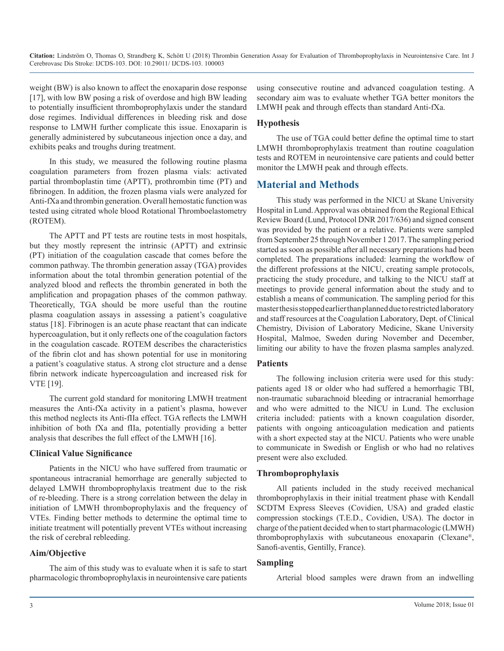weight (BW) is also known to affect the enoxaparin dose response [17], with low BW posing a risk of overdose and high BW leading to potentially insufficient thromboprophylaxis under the standard dose regimes. Individual differences in bleeding risk and dose response to LMWH further complicate this issue. Enoxaparin is generally administered by subcutaneous injection once a day, and exhibits peaks and troughs during treatment.

In this study, we measured the following routine plasma coagulation parameters from frozen plasma vials: activated partial thromboplastin time (APTT), prothrombin time (PT) and fibrinogen. In addition, the frozen plasma vials were analyzed for Anti-fXa and thrombin generation. Overall hemostatic function was tested using citrated whole blood Rotational Thromboelastometry (ROTEM).

The APTT and PT tests are routine tests in most hospitals, but they mostly represent the intrinsic (APTT) and extrinsic (PT) initiation of the coagulation cascade that comes before the common pathway. The thrombin generation assay (TGA) provides information about the total thrombin generation potential of the analyzed blood and reflects the thrombin generated in both the amplification and propagation phases of the common pathway. Theoretically, TGA should be more useful than the routine plasma coagulation assays in assessing a patient's coagulative status [18]. Fibrinogen is an acute phase reactant that can indicate hypercoagulation, but it only reflects one of the coagulation factors in the coagulation cascade. ROTEM describes the characteristics of the fibrin clot and has shown potential for use in monitoring a patient's coagulative status. A strong clot structure and a dense fibrin network indicate hypercoagulation and increased risk for VTE [19].

The current gold standard for monitoring LMWH treatment measures the Anti-fXa activity in a patient's plasma, however this method neglects its Anti-fIIa effect. TGA reflects the LMWH inhibition of both fXa and fIIa, potentially providing a better analysis that describes the full effect of the LMWH [16].

#### **Clinical Value Significance**

Patients in the NICU who have suffered from traumatic or spontaneous intracranial hemorrhage are generally subjected to delayed LMWH thromboprophylaxis treatment due to the risk of re-bleeding. There is a strong correlation between the delay in initiation of LMWH thromboprophylaxis and the frequency of VTEs. Finding better methods to determine the optimal time to initiate treatment will potentially prevent VTEs without increasing the risk of cerebral rebleeding.

#### **Aim/Objective**

The aim of this study was to evaluate when it is safe to start pharmacologic thromboprophylaxis in neurointensive care patients using consecutive routine and advanced coagulation testing. A secondary aim was to evaluate whether TGA better monitors the LMWH peak and through effects than standard Anti-fXa.

#### **Hypothesis**

The use of TGA could better define the optimal time to start LMWH thromboprophylaxis treatment than routine coagulation tests and ROTEM in neurointensive care patients and could better monitor the LMWH peak and through effects.

## **Material and Methods**

This study was performed in the NICU at Skane University Hospital in Lund. Approval was obtained from the Regional Ethical Review Board (Lund, Protocol DNR 2017/636) and signed consent was provided by the patient or a relative. Patients were sampled from September 25 through November 1 2017. The sampling period started as soon as possible after all necessary preparations had been completed. The preparations included: learning the workflow of the different professions at the NICU, creating sample protocols, practicing the study procedure, and talking to the NICU staff at meetings to provide general information about the study and to establish a means of communication. The sampling period for this master thesis stopped earlier than planned due to restricted laboratory and staff resources at the Coagulation Laboratory, Dept. of Clinical Chemistry, Division of Laboratory Medicine, Skane University Hospital, Malmoe, Sweden during November and December, limiting our ability to have the frozen plasma samples analyzed.

#### **Patients**

The following inclusion criteria were used for this study: patients aged 18 or older who had suffered a hemorrhagic TBI, non-traumatic subarachnoid bleeding or intracranial hemorrhage and who were admitted to the NICU in Lund. The exclusion criteria included: patients with a known coagulation disorder, patients with ongoing anticoagulation medication and patients with a short expected stay at the NICU. Patients who were unable to communicate in Swedish or English or who had no relatives present were also excluded.

#### **Thromboprophylaxis**

All patients included in the study received mechanical thromboprophylaxis in their initial treatment phase with Kendall SCDTM Express Sleeves (Covidien, USA) and graded elastic compression stockings (T.E.D., Covidien, USA). The doctor in charge of the patient decided when to start pharmacologic (LMWH) thromboprophylaxis with subcutaneous enoxaparin (Clexane®, Sanofi-aventis, Gentilly, France).

#### **Sampling**

Arterial blood samples were drawn from an indwelling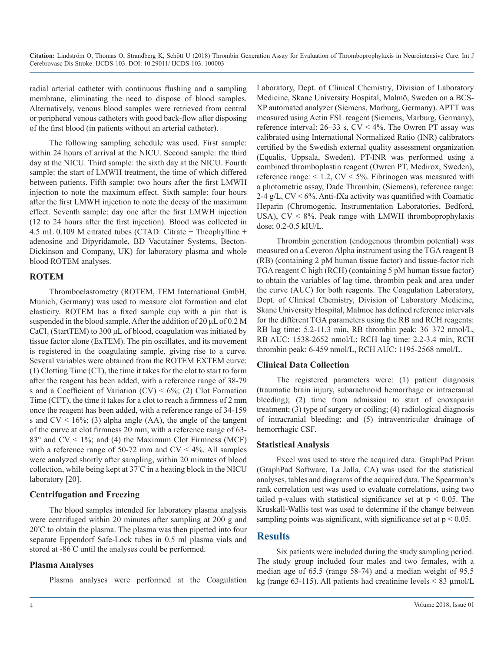radial arterial catheter with continuous flushing and a sampling membrane, eliminating the need to dispose of blood samples. Alternatively, venous blood samples were retrieved from central or peripheral venous catheters with good back-flow after disposing of the first blood (in patients without an arterial catheter).

The following sampling schedule was used. First sample: within 24 hours of arrival at the NICU. Second sample: the third day at the NICU. Third sample: the sixth day at the NICU. Fourth sample: the start of LMWH treatment, the time of which differed between patients. Fifth sample: two hours after the first LMWH injection to note the maximum effect. Sixth sample: four hours after the first LMWH injection to note the decay of the maximum effect. Seventh sample: day one after the first LMWH injection (12 to 24 hours after the first injection). Blood was collected in 4.5 mL 0.109 M citrated tubes (CTAD: Citrate + Theophylline + adenosine and Dipyridamole, BD Vacutainer Systems, Becton-Dickinson and Company, UK) for laboratory plasma and whole blood ROTEM analyses.

#### **ROTEM**

Thromboelastometry (ROTEM, TEM International GmbH, Munich, Germany) was used to measure clot formation and clot elasticity. ROTEM has a fixed sample cup with a pin that is suspended in the blood sample. After the addition of 20 μL of 0.2 M CaCl<sub>2</sub> (StartTEM) to 300  $\mu$ L of blood, coagulation was initiated by tissue factor alone (ExTEM). The pin oscillates, and its movement is registered in the coagulating sample, giving rise to a curve. Several variables were obtained from the ROTEM EXTEM curve: (1) Clotting Time (CT), the time it takes for the clot to start to form after the reagent has been added, with a reference range of 38-79 s and a Coefficient of Variation  $(CV) < 6\%$ ; (2) Clot Formation Time (CFT), the time it takes for a clot to reach a firmness of 2 mm once the reagent has been added, with a reference range of 34-159 s and  $CV < 16\%$ ; (3) alpha angle (AA), the angle of the tangent of the curve at clot firmness 20 mm, with a reference range of 63- 83 $\degree$  and CV < 1\%; and (4) the Maximum Clot Firmness (MCF) with a reference range of 50-72 mm and  $CV < 4\%$ . All samples were analyzed shortly after sampling, within 20 minutes of blood collection, while being kept at 37° C in a heating block in the NICU laboratory [20].

### **Centrifugation and Freezing**

The blood samples intended for laboratory plasma analysis were centrifuged within 20 minutes after sampling at 200 g and 20° C to obtain the plasma. The plasma was then pipetted into four separate Eppendorf Safe-Lock tubes in 0.5 ml plasma vials and stored at -86° C until the analyses could be performed.

### **Plasma Analyses**

Plasma analyses were performed at the Coagulation

Laboratory, Dept. of Clinical Chemistry, Division of Laboratory Medicine, Skane University Hospital, Malmö, Sweden on a BCS-XP automated analyzer (Siemens, Marburg, Germany). APTT was measured using Actin FSL reagent (Siemens, Marburg, Germany), reference interval:  $26-33$  s,  $CV < 4\%$ . The Owren PT assay was calibrated using International Normalized Ratio (INR) calibrators certified by the Swedish external quality assessment organization (Equalis, Uppsala, Sweden). PT-INR was performed using a combined thromboplastin reagent (Owren PT, Medirox, Sweden), reference range:  $< 1.2$ , CV  $< 5\%$ . Fibrinogen was measured with a photometric assay, Dade Thrombin, (Siemens), reference range: 2-4  $g/L$ ,  $CV < 6\%$ . Anti-fXa activity was quantified with Coamatic Heparin (Chromogenic, Instrumentation Laboratories, Bedford, USA), CV < 8%. Peak range with LMWH thromboprophylaxis dose; 0.2-0.5 kIU/L.

Thrombin generation (endogenous thrombin potential) was measured on a Ceveron Alpha instrument using the TGA reagent B (RB) (containing 2 pM human tissue factor) and tissue-factor rich TGA reagent C high (RCH) (containing 5 pM human tissue factor) to obtain the variables of lag time, thrombin peak and area under the curve (AUC) for both reagents. The Coagulation Laboratory, Dept. of Clinical Chemistry, Division of Laboratory Medicine, Skane University Hospital, Malmoe has defined reference intervals for the different TGA parameters using the RB and RCH reagents: RB lag time: 5.2-11.3 min, RB thrombin peak: 36–372 nmol/L, RB AUC: 1538-2652 nmol/L; RCH lag time: 2.2-3.4 min, RCH thrombin peak: 6-459 nmol/L, RCH AUC: 1195-2568 nmol/L.

### **Clinical Data Collection**

The registered parameters were: (1) patient diagnosis (traumatic brain injury, subarachnoid hemorrhage or intracranial bleeding); (2) time from admission to start of enoxaparin treatment; (3) type of surgery or coiling; (4) radiological diagnosis of intracranial bleeding; and (5) intraventricular drainage of hemorrhagic CSF.

### **Statistical Analysis**

Excel was used to store the acquired data. GraphPad Prism (GraphPad Software, La Jolla, CA) was used for the statistical analyses, tables and diagrams of the acquired data. The Spearman's rank correlation test was used to evaluate correlations, using two tailed p-values with statistical significance set at  $p \le 0.05$ . The Kruskall-Wallis test was used to determine if the change between sampling points was significant, with significance set at  $p < 0.05$ .

## **Results**

Six patients were included during the study sampling period. The study group included four males and two females, with a median age of 65.5 (range 58-74) and a median weight of 95.5 kg (range 63-115). All patients had creatinine levels  $\leq 83 \text{ µmol/L}$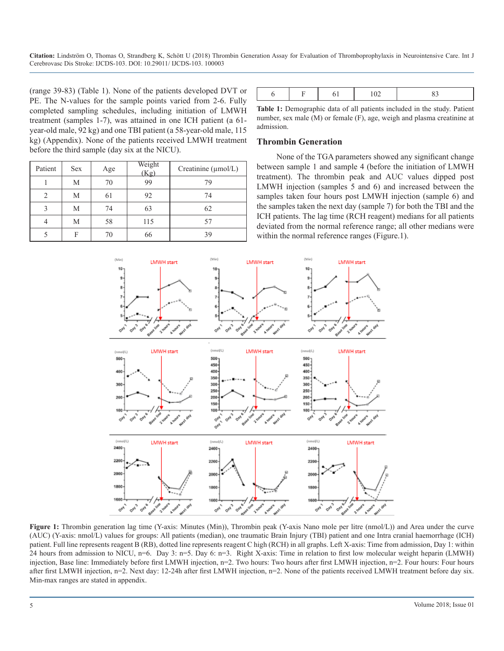(range 39-83) (Table 1). None of the patients developed DVT or PE. The N-values for the sample points varied from 2-6. Fully completed sampling schedules, including initiation of LMWH treatment (samples 1-7), was attained in one ICH patient (a 61 year-old male, 92 kg) and one TBI patient (a 58-year-old male, 115 kg) (Appendix). None of the patients received LMWH treatment before the third sample (day six at the NICU).

| Patient | <b>Sex</b> | Age | Weight<br>(Kg) | Creatinine $(\mu$ mol/L) |
|---------|------------|-----|----------------|--------------------------|
|         | М          | 70  | 99             | 79                       |
| 2       | M          | 61  | 92             | 74                       |
|         | М          | 74  | 63             | 62                       |
| 4       | M          | 58  | 115            | 57                       |
|         | F          | 70  | 66             | 39                       |

|--|--|--|--|--|--|--|

**Table 1:** Demographic data of all patients included in the study. Patient number, sex male (M) or female (F), age, weigh and plasma creatinine at admission.

#### **Thrombin Generation**

None of the TGA parameters showed any significant change between sample 1 and sample 4 (before the initiation of LMWH treatment). The thrombin peak and AUC values dipped post LMWH injection (samples 5 and 6) and increased between the samples taken four hours post LMWH injection (sample 6) and the samples taken the next day (sample 7) for both the TBI and the ICH patients. The lag time (RCH reagent) medians for all patients deviated from the normal reference range; all other medians were within the normal reference ranges (Figure.1).



**Figure 1:** Thrombin generation lag time (Y-axis: Minutes (Min)), Thrombin peak (Y-axis Nano mole per litre (nmol/L)) and Area under the curve (AUC) (Y-axis: nmol/L) values for groups: All patients (median), one traumatic Brain Injury (TBI) patient and one Intra cranial haemorrhage (ICH) patient. Full line represents reagent B (RB), dotted line represents reagent C high (RCH) in all graphs. Left X-axis: Time from admission, Day 1: within 24 hours from admission to NICU, n=6. Day 3: n=5. Day 6: n=3. Right X-axis: Time in relation to first low molecular weight heparin (LMWH) injection, Base line: Immediately before first LMWH injection, n=2. Two hours: Two hours after first LMWH injection, n=2. Four hours: Four hours after first LMWH injection, n=2. Next day: 12-24h after first LMWH injection, n=2. None of the patients received LMWH treatment before day six. Min-max ranges are stated in appendix.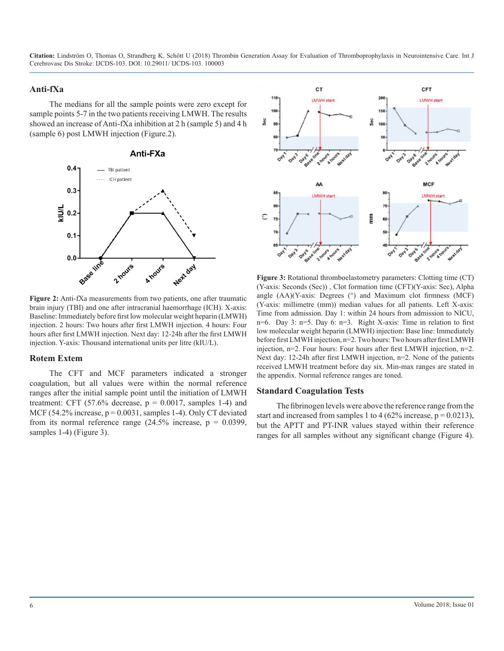#### **Anti-fXa**

The medians for all the sample points were zero except for sample points 5-7 in the two patients receiving LMWH. The results showed an increase of Anti-fXa inhibition at 2 h (sample 5) and 4 h (sample 6) post LMWH injection (Figure.2).



**Figure 2:** Anti-fXa measurements from two patients, one after traumatic brain injury (TBI) and one after intracranial haemorrhage (ICH). X-axis: Baseline: Immediately before first low molecular weight heparin (LMWH) injection. 2 hours: Two hours after first LMWH injection. 4 hours: Four hours after first LMWH injection. Next day: 12-24h after the first LMWH injection. Y-axis: Thousand international units per litre (kIU/L).

#### **Rotem Extem**

The CFT and MCF parameters indicated a stronger coagulation, but all values were within the normal reference ranges after the initial sample point until the initiation of LMWH treatment: CFT  $(57.6\%$  decrease,  $p = 0.0017$ , samples 1-4) and MCF (54.2% increase,  $p = 0.0031$ , samples 1-4). Only CT deviated from its normal reference range  $(24.5\%$  increase,  $p = 0.0399$ , samples 1-4) (Figure 3).



**Figure 3:** Rotational thromboelastometry parameters: Clotting time (CT) (Y-axis: Seconds (Sec)) , Clot formation time (CFT)(Y-axis: Sec), Alpha angle  $(AA)(Y-axis: Degrees (°)$  and Maximum clot firmness  $(MCF)$ (Y-axis: millimetre (mm)) median values for all patients. Left X-axis: Time from admission. Day 1: within 24 hours from admission to NICU, n=6. Day 3: n=5. Day 6: n=3. Right X-axis: Time in relation to first low molecular weight heparin (LMWH) injection: Base line: Immediately before first LMWH injection, n=2. Two hours: Two hours after first LMWH injection, n=2. Four hours: Four hours after first LMWH injection, n=2. Next day: 12-24h after first LMWH injection, n=2. None of the patients received LMWH treatment before day six. Min-max ranges are stated in the appendix. Normal reference ranges are toned.

#### **Standard Coagulation Tests**

The fibrinogen levels were above the reference range from the start and increased from samples 1 to 4 (62% increase,  $p = 0.0213$ ), but the APTT and PT-INR values stayed within their reference ranges for all samples without any significant change (Figure 4).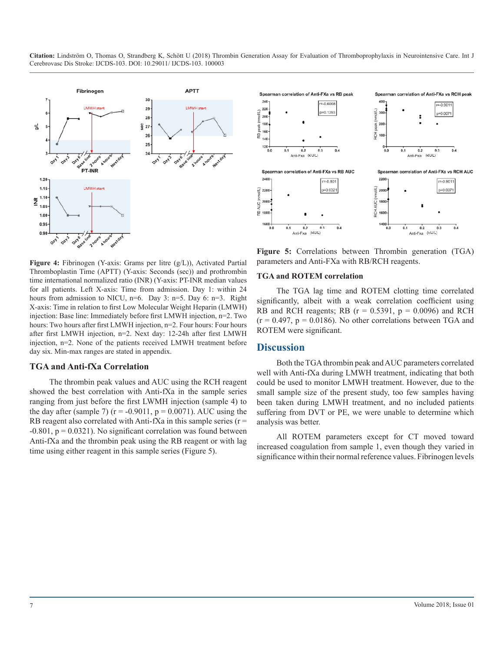

**Figure 4:** Fibrinogen (Y-axis: Grams per litre (g/L)), Activated Partial Thromboplastin Time (APTT) (Y-axis: Seconds (sec)) and prothrombin time international normalized ratio (INR) (Y-axis: PT-INR median values for all patients. Left X-axis: Time from admission. Day 1: within 24 hours from admission to NICU, n=6. Day 3: n=5. Day 6: n=3. Right X-axis: Time in relation to first Low Molecular Weight Heparin (LMWH) injection: Base line: Immediately before first LMWH injection, n=2. Two hours: Two hours after first LMWH injection, n=2. Four hours: Four hours after first LMWH injection, n=2. Next day: 12-24h after first LMWH injection, n=2. None of the patients received LMWH treatment before day six. Min-max ranges are stated in appendix.

#### **TGA and Anti-fXa Correlation**

The thrombin peak values and AUC using the RCH reagent showed the best correlation with Anti-fXa in the sample series ranging from just before the first LWMH injection (sample 4) to the day after (sample 7) ( $r = -0.9011$ ,  $p = 0.0071$ ). AUC using the RB reagent also correlated with Anti-fXa in this sample series ( $r =$  $-0.801$ ,  $p = 0.0321$ ). No significant correlation was found between Anti-fXa and the thrombin peak using the RB reagent or with lag time using either reagent in this sample series (Figure 5).



**Figure 5:** Correlations between Thrombin generation (TGA) parameters and Anti-FXa with RB/RCH reagents.

#### **TGA and ROTEM correlation**

The TGA lag time and ROTEM clotting time correlated significantly, albeit with a weak correlation coefficient using RB and RCH reagents; RB  $(r = 0.5391, p = 0.0096)$  and RCH  $(r = 0.497, p = 0.0186)$ . No other correlations between TGA and ROTEM were significant.

#### **Discussion**

Both the TGA thrombin peak and AUC parameters correlated well with Anti-fXa during LMWH treatment, indicating that both could be used to monitor LMWH treatment. However, due to the small sample size of the present study, too few samples having been taken during LMWH treatment, and no included patients suffering from DVT or PE, we were unable to determine which analysis was better.

All ROTEM parameters except for CT moved toward increased coagulation from sample 1, even though they varied in significance within their normal reference values. Fibrinogen levels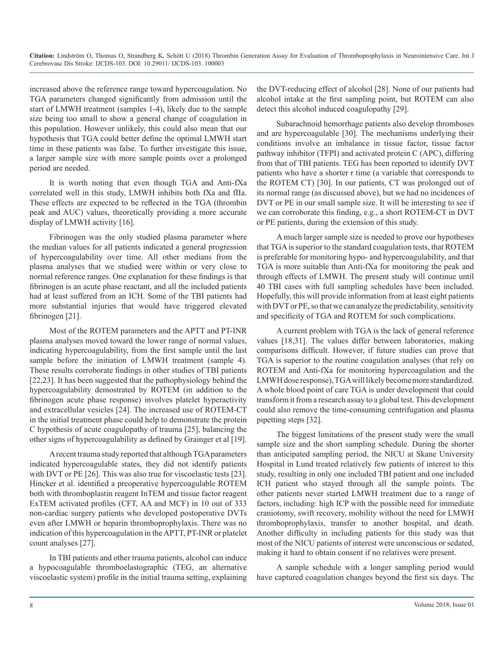increased above the reference range toward hypercoagulation. No TGA parameters changed significantly from admission until the start of LMWH treatment (samples 1-4), likely due to the sample size being too small to show a general change of coagulation in this population. However unlikely, this could also mean that our hypothesis that TGA could better define the optimal LMWH start time in these patients was false. To further investigate this issue, a larger sample size with more sample points over a prolonged period are needed.

It is worth noting that even though TGA and Anti-fXa correlated well in this study, LMWH inhibits both fXa and fIIa. These effects are expected to be reflected in the TGA (thrombin peak and AUC) values, theoretically providing a more accurate display of LMWH activity [16].

Fibrinogen was the only studied plasma parameter where the median values for all patients indicated a general progression of hypercoagulability over time. All other medians from the plasma analyses that we studied were within or very close to normal reference ranges. One explanation for these findings is that fibrinogen is an acute phase reactant, and all the included patients had at least suffered from an ICH. Some of the TBI patients had more substantial injuries that would have triggered elevated fibrinogen [21].

Most of the ROTEM parameters and the APTT and PT-INR plasma analyses moved toward the lower range of normal values, indicating hypercoagulability, from the first sample until the last sample before the initiation of LMWH treatment (sample 4). These results corroborate findings in other studies of TBI patients [22,23]. It has been suggested that the pathophysiology behind the hypercoagulability demostrated by ROTEM (in addition to the fibrinogen acute phase response) involves platelet hyperactivity and extracellular vesicles [24]. The increased use of ROTEM-CT in the initial treatment phase could help to demonstrate the protein C hypothesis of acute coagulopathy of trauma [25], balancing the other signs of hypercoagulability as defined by Grainger et al [19].

A recent trauma study reported that although TGA parameters indicated hypercoagulable states, they did not identify patients with DVT or PE [26]. This was also true for viscoelastic tests [23]. Hincker et al. identified a preoperative hypercoagulable ROTEM both with thromboplastin reagent InTEM and tissue factor reagent ExTEM activated profiles (CFT, AA and MCF) in 10 out of 333 non-cardiac surgery patients who developed postoperative DVTs even after LMWH or heparin thromboprophylaxis. There was no indication of this hypercoagulation in the APTT, PT-INR or platelet count analyses [27].

In TBI patients and other trauma patients, alcohol can induce a hypocoagulable thromboelastographic (TEG, an alternative viscoelastic system) profile in the initial trauma setting, explaining

the DVT-reducing effect of alcohol [28]. None of our patients had alcohol intake at the first sampling point, but ROTEM can also detect this alcohol induced coagulopathy [29].

Subarachnoid hemorrhage patients also develop thromboses and are hypercoagulable [30]. The mechanisms underlying their conditions involve an imbalance in tissue factor, tissue factor pathway inhibitor (TFPI) and activated protein C (APC), differing from that of TBI patients. TEG has been reported to identify DVT patients who have a shorter r time (a variable that corresponds to the ROTEM CT) [30]. In our patients, CT was prolonged out of its normal range (as discussed above), but we had no incidences of DVT or PE in our small sample size. It will be interesting to see if we can corroborate this finding, e.g., a short ROTEM-CT in DVT or PE patients, during the extension of this study.

A much larger sample size is needed to prove our hypotheses that TGA is superior to the standard coagulation tests, that ROTEM is preferable for monitoring hypo- and hypercoagulability, and that TGA is more suitable than Anti-fXa for monitoring the peak and through effects of LMWH. The present study will continue until 40 TBI cases with full sampling schedules have been included. Hopefully, this will provide information from at least eight patients with DVT or PE, so that we can analyze the predictability, sensitivity and specificity of TGA and ROTEM for such complications.

A current problem with TGA is the lack of general reference values [18,31]. The values differ between laboratories, making comparisons difficult. However, if future studies can prove that TGA is superior to the routine coagulation analyses (that rely on ROTEM and Anti-fXa for monitoring hypercoagulation and the LMWH dose response), TGA will likely become more standardized. A whole blood point of care TGA is under development that could transform it from a research assay to a global test. This development could also remove the time-consuming centrifugation and plasma pipetting steps [32].

The biggest limitations of the present study were the small sample size and the short sampling schedule. During the shorter than anticipated sampling period, the NICU at Skane University Hospital in Lund treated relatively few patients of interest to this study, resulting in only one included TBI patient and one included ICH patient who stayed through all the sample points. The other patients never started LMWH treatment due to a range of factors, including: high ICP with the possible need for immediate craniotomy, swift recovery, mobility without the need for LMWH thromboprophylaxis, transfer to another hospital, and death. Another difficulty in including patients for this study was that most of the NICU patients of interest were unconscious or sedated, making it hard to obtain consent if no relatives were present.

A sample schedule with a longer sampling period would have captured coagulation changes beyond the first six days. The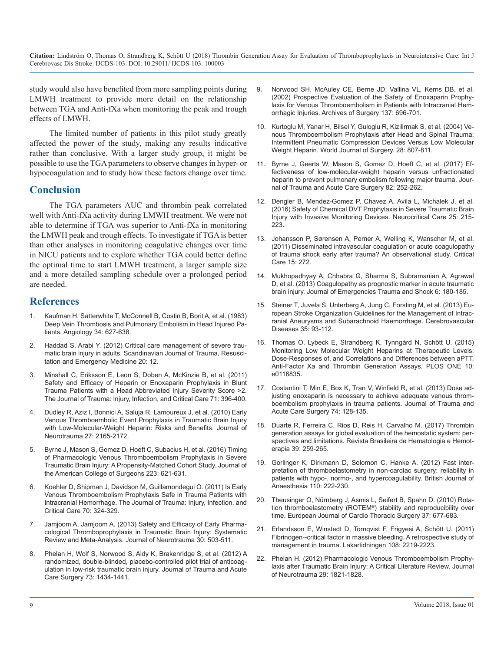study would also have benefited from more sampling points during LMWH treatment to provide more detail on the relationship between TGA and Anti-fXa when monitoring the peak and trough effects of LMWH.

[The limited number of patients in this pilot study greatly](https://www.ncbi.nlm.nih.gov/pubmed/15457363)  affected the power of the study, making any results indicative rather than conclusive. With a larger study group, it might be possible to use the TGA parameters to observe changes in hyper- or [hypocoagulation and to study how these factors change over time.](https://www.ncbi.nlm.nih.gov/pubmed/27906870)

#### **Conclusion**

The TGA parameters AUC and thrombin peak correlated well with Anti-fXa activity during LMWH treatment. We were not able to determine if TGA was superior to Anti-fXa in monitoring the LMWH peak and trough effects. To investigate if TGA is better [than other analyses in monitoring coagulative changes over time](https://www.ncbi.nlm.nih.gov/pubmed/22087841)  in NICU patients and to explore whether TGA could better define the optimal time to start LMWH treatment, a larger sample size and a more detailed sampling schedule over a prolonged period are needed.

#### **References**

- [Kaufman H, Satterwhite T, McConnell B, Costin B, Borit A, et al. \(1983\)](https://www.ncbi.nlm.nih.gov/pubmed/6226216) [Deep Vein Thrombosis and Pulmonary Embolism in Head Injured Pa](https://www.ncbi.nlm.nih.gov/pubmed/6226216)[tients. Angiology 34: 627-638.](https://www.ncbi.nlm.nih.gov/pubmed/6226216)
- 2. [Haddad S, Arabi Y. \(2012\) Critical care management of severe trau](https://www.ncbi.nlm.nih.gov/pubmed/22304785)[matic brain injury in adults. Scandinavian Journal of Trauma, Resusci](https://www.ncbi.nlm.nih.gov/pubmed/22304785)[tation and Emergency Medicine 20: 12.](https://www.ncbi.nlm.nih.gov/pubmed/22304785)
- 3. [Minshall C, Eriksson E, Leon S, Doben A, McKinzie B, et al. \(2011\)](https://www.ncbi.nlm.nih.gov/pubmed/21825943)  [Safety and Efficacy of Heparin or Enoxaparin Prophylaxis in Blunt](https://www.ncbi.nlm.nih.gov/pubmed/21825943)  [Trauma Patients with a Head Abbreviated Injury Severity Score >2.](https://www.ncbi.nlm.nih.gov/pubmed/21825943)  [The Journal of Trauma: Injury, Infection, and Critical Care 71: 396-400.](https://www.ncbi.nlm.nih.gov/pubmed/21825943)
- 4. [Dudley R, Aziz I, Bonnici A, Saluja R, Lamoureux J, et al. \(2010\) Early](https://www.ncbi.nlm.nih.gov/pubmed/20939698) [Venous Thromboembolic Event Prophylaxis in Traumatic Brain Injury](https://www.ncbi.nlm.nih.gov/pubmed/20939698)  [with Low-Molecular-Weight Heparin: Risks and Benefits. Journal of](https://www.ncbi.nlm.nih.gov/pubmed/20939698)  [Neurotrauma 27: 2165-2172.](https://www.ncbi.nlm.nih.gov/pubmed/20939698)
- 5. [Byrne J, Mason S, Gomez D, Hoeft C, Subacius H, et al. \(2016\) Timing](https://www.ncbi.nlm.nih.gov/pubmed/27453296)  [of Pharmacologic Venous Thromboembolism Prophylaxis in Severe](https://www.ncbi.nlm.nih.gov/pubmed/27453296)  [Traumatic Brain Injury: A Propensity-Matched Cohort Study. Journal of](https://www.ncbi.nlm.nih.gov/pubmed/27453296) [the American College of Surgeons 223: 621-631.](https://www.ncbi.nlm.nih.gov/pubmed/27453296)
- 6. [Koehler D, Shipman J, Davidson M, Guillamondegui O. \(2011\) Is Early](https://www.ncbi.nlm.nih.gov/pubmed/21307729)  [Venous Thromboembolism Prophylaxis Safe in Trauma Patients with](https://www.ncbi.nlm.nih.gov/pubmed/21307729)  [Intracranial Hemorrhage. The Journal of Trauma: Injury, Infection, and](https://www.ncbi.nlm.nih.gov/pubmed/21307729)  [Critical Care 70: 324-329.](https://www.ncbi.nlm.nih.gov/pubmed/21307729)
- 7. [Jamjoom A, Jamjoom A. \(2013\) Safety and Efficacy of Early Pharma](https://www.ncbi.nlm.nih.gov/pubmed/23517138)[cological Thromboprophylaxis in Traumatic Brain Injury: Systematic](https://www.ncbi.nlm.nih.gov/pubmed/23517138) [Review and Meta-Analysis. Journal of Neurotrauma 30: 503-511.](https://www.ncbi.nlm.nih.gov/pubmed/23517138)
- 8. [Phelan H, Wolf S, Norwood S, Aldy K, Brakenridge S, et al. \(2012\) A](https://www.ncbi.nlm.nih.gov/pubmed/22914079)  [randomized, double-blinded, placebo-controlled pilot trial of anticoag](https://www.ncbi.nlm.nih.gov/pubmed/22914079)[ulation in low-risk traumatic brain injury. Journal of Trauma and Acute](https://www.ncbi.nlm.nih.gov/pubmed/22914079)  [Care Surgery 73: 1434-1441.](https://www.ncbi.nlm.nih.gov/pubmed/22914079)
- 9. [Norwood SH, McAuley CE,](https://www.ncbi.nlm.nih.gov/pubmed/12049541) Berne JD, Vallina VL, Kerns DB, et al. ([2002\) Prospective Evaluation of the Safety of Enoxaparin Prophy](https://www.ncbi.nlm.nih.gov/pubmed/12049541)[laxis for Venous Thromboembolism in Patients with Intracranial Hem](https://www.ncbi.nlm.nih.gov/pubmed/12049541)[orrhagic Injuries. Archives of Surgery 137: 696-701.](https://www.ncbi.nlm.nih.gov/pubmed/12049541)
- 10. [Kurtoglu M, Yanar H, Bilsel Y, Guloglu R, Kizilirmak S, et al. \(2004\) Ve](https://www.ncbi.nlm.nih.gov/pubmed/15457363)nous Thromboembolism Prophylaxis after Head and Spinal Trauma: [Intermittent Pneumatic Compression Devices Versus Low Molecular](https://www.ncbi.nlm.nih.gov/pubmed/15457363)  [Weight Heparin. World Journal of Surgery. 28: 807-811.](https://www.ncbi.nlm.nih.gov/pubmed/15457363)
- 11. [Byrne J, Geerts W, Mason S, Gomez D, Hoeft C, et al. \(2017\) Ef](https://www.ncbi.nlm.nih.gov/pubmed/27906870)fectiveness of low-molecular-weight heparin versus unfractionated [heparin to prevent pulmonary embolism following major trauma. Jour](https://www.ncbi.nlm.nih.gov/pubmed/27906870)[nal of Trauma and Acute Care Surgery 82: 252-262.](https://www.ncbi.nlm.nih.gov/pubmed/27906870)
- 12. [Dengler B, Mendez-Gomez P, Chavez A, Avila L, Michalek J, et al.](https://www.ncbi.nlm.nih.gov/pubmed/27350548) [\(2016\) Safety of Chemical DVT Prophylaxis in Severe Traumatic Brain](https://www.ncbi.nlm.nih.gov/pubmed/27350548)  [Injury with Invasive Monitoring Devices. Neurocritical Care 25: 215-](https://www.ncbi.nlm.nih.gov/pubmed/27350548) [223.](https://www.ncbi.nlm.nih.gov/pubmed/27350548)
- 13. [Johansson P, Sørensen A, Perner A, Welling K, Wanscher M, et al.](https://www.ncbi.nlm.nih.gov/pubmed/22087841) (2011) Disseminated intravascular coagulation or acute coagulopathy [of trauma shock early after trauma? An observational study. Critical](https://www.ncbi.nlm.nih.gov/pubmed/22087841) [Care 15: 272.](https://www.ncbi.nlm.nih.gov/pubmed/22087841)
- 14. [Mukhopadhyay A, Chhabra G, Sharma S, Subramanian A, Agrawal](https://www.ncbi.nlm.nih.gov/pubmed/23960374)  [D, et al. \(2013\) Coagulopathy as prognostic marker in acute traumatic](https://www.ncbi.nlm.nih.gov/pubmed/23960374)  [brain injury. Journal of Emergencies Trauma and Shock 6: 180-185.](https://www.ncbi.nlm.nih.gov/pubmed/23960374)
- 15. [Steiner T, Juvela S, Unterberg A, Jung C, Forsting M, et al. \(2013\) Eu](https://www.ncbi.nlm.nih.gov/pubmed/23406828)[ropean Stroke Organization Guidelines for the Management of Intrac](https://www.ncbi.nlm.nih.gov/pubmed/23406828)[ranial Aneurysms and Subarachnoid Haemorrhage. Cerebrovascular](https://www.ncbi.nlm.nih.gov/pubmed/23406828)  [Diseases 35: 93-112.](https://www.ncbi.nlm.nih.gov/pubmed/23406828)
- 16. [Thomas O, Lybeck E, Strandberg K, Tynngård N, Schött U. \(2015\)](https://www.ncbi.nlm.nih.gov/pubmed/25625201)  [Monitoring Low Molecular Weight Heparins at Therapeutic Levels:](https://www.ncbi.nlm.nih.gov/pubmed/25625201)  [Dose-Responses of, and Correlations and Differences between aPTT,](https://www.ncbi.nlm.nih.gov/pubmed/25625201) [Anti-Factor Xa and Thrombin Generation Assays. PLOS ONE 10:](https://www.ncbi.nlm.nih.gov/pubmed/25625201)  [e0116835.](https://www.ncbi.nlm.nih.gov/pubmed/25625201)
- 17. [Costantini T, Min E, Box K, Tran V, Winfield R, et al. \(2013\) Dose ad](https://www.ncbi.nlm.nih.gov/pubmed/23271087)[justing enoxaparin is necessary to achieve adequate venous throm](https://www.ncbi.nlm.nih.gov/pubmed/23271087)[boembolism prophylaxis in trauma patients. Journal of Trauma and](https://www.ncbi.nlm.nih.gov/pubmed/23271087)  [Acute Care Surgery 74: 128-135.](https://www.ncbi.nlm.nih.gov/pubmed/23271087)
- 18. [Duarte R, Ferreira C, Rios D, Reis H, Carvalho M. \(2017\) Thrombin](https://www.ncbi.nlm.nih.gov/pmc/articles/PMC5568585/)  [generation assays for global evaluation of the hemostatic system: per](https://www.ncbi.nlm.nih.gov/pmc/articles/PMC5568585/)[spectives and limitations. Revista Brasileira de Hematologia e Hemot](https://www.ncbi.nlm.nih.gov/pmc/articles/PMC5568585/)[erapia 39: 259-265.](https://www.ncbi.nlm.nih.gov/pmc/articles/PMC5568585/)
- 19. [Gorlinger K, Dirkmann D, Solomon C, Hanke A. \(2012\) Fast inter](https://www.ncbi.nlm.nih.gov/pubmed/23112213)[pretation of thromboelastometry in non-cardiac surgery: reliability in](https://www.ncbi.nlm.nih.gov/pubmed/23112213) [patients with hypo-, normo-, and hypercoagulability. British Journal of](https://www.ncbi.nlm.nih.gov/pubmed/23112213) [Anaesthesia 110: 222-230.](https://www.ncbi.nlm.nih.gov/pubmed/23112213)
- 20. [Theusinger O, Nürnberg J, Asmis L, Seifert B, Spahn D. \(2010\) Rota](https://www.ncbi.nlm.nih.gov/pubmed/19747838)[tion thromboelastometry \(ROTEM®\) stability and reproducibility over](https://www.ncbi.nlm.nih.gov/pubmed/19747838)  [time. European Journal of Cardio Thoracic Surgery 37: 677-683.](https://www.ncbi.nlm.nih.gov/pubmed/19747838)
- 21. [Erlandsson E, Winstedt D, Tornqvist F, Frigyesi A, Schött U. \(](https://www.ncbi.nlm.nih.gov/pubmed/22165181)2011) [Fibrinogen--critical factor in massive bleeding. A retrospective study of](https://www.ncbi.nlm.nih.gov/pubmed/22165181) [management in trauma. Lakartidningen 108: 2219-2223.](https://www.ncbi.nlm.nih.gov/pubmed/22165181)
- 22. [Phelan H. \(2012\) Pharmacologic Venous Thromboembolism Prophy](https://www.ncbi.nlm.nih.gov/pubmed/22651698)[laxis after Traumatic Brain Injury: A Critical Literature Review. Journal](https://www.ncbi.nlm.nih.gov/pubmed/22651698) [of Neurotrauma 29: 1821-1828.](https://www.ncbi.nlm.nih.gov/pubmed/22651698)